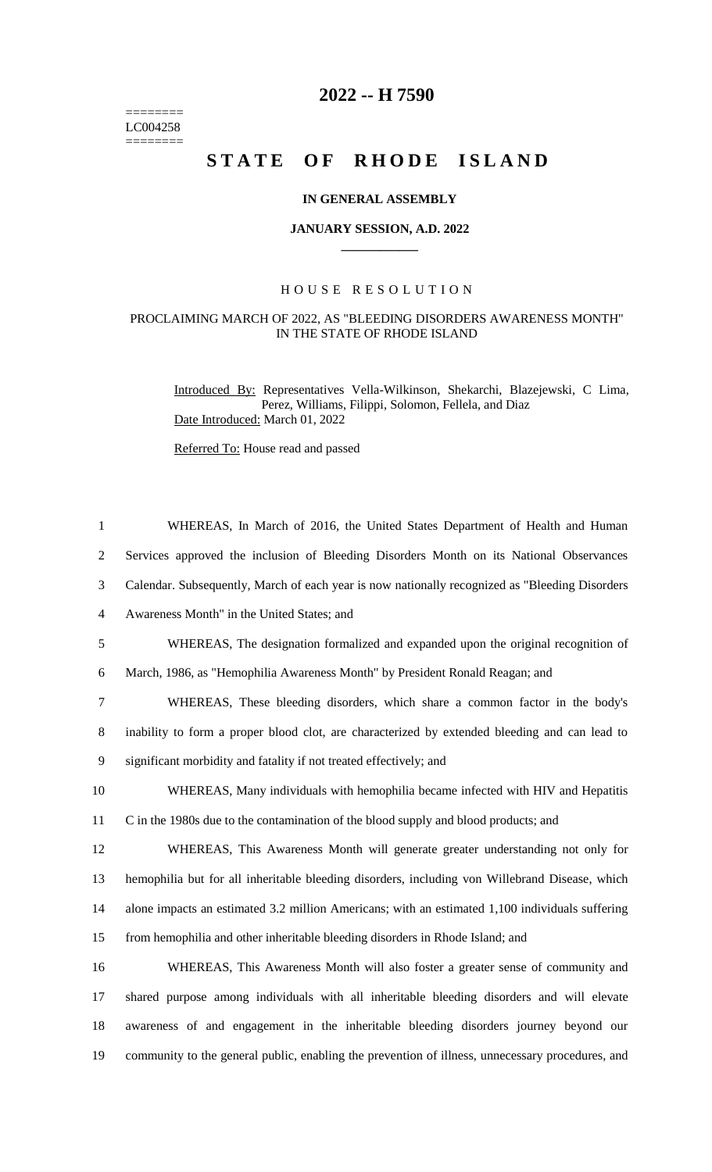======== LC004258  $=$ 

## **2022 -- H 7590**

# STATE OF RHODE ISLAND

#### **IN GENERAL ASSEMBLY**

#### **JANUARY SESSION, A.D. 2022 \_\_\_\_\_\_\_\_\_\_\_\_**

#### H O U S E R E S O L U T I O N

### PROCLAIMING MARCH OF 2022, AS "BLEEDING DISORDERS AWARENESS MONTH" IN THE STATE OF RHODE ISLAND

Introduced By: Representatives Vella-Wilkinson, Shekarchi, Blazejewski, C Lima, Perez, Williams, Filippi, Solomon, Fellela, and Diaz Date Introduced: March 01, 2022

Referred To: House read and passed

| $\mathbf{1}$   | WHEREAS, In March of 2016, the United States Department of Health and Human                      |
|----------------|--------------------------------------------------------------------------------------------------|
| $\overline{2}$ | Services approved the inclusion of Bleeding Disorders Month on its National Observances          |
| 3              | Calendar. Subsequently, March of each year is now nationally recognized as "Bleeding Disorders"  |
| $\overline{4}$ | Awareness Month" in the United States; and                                                       |
| 5              | WHEREAS, The designation formalized and expanded upon the original recognition of                |
| 6              | March, 1986, as "Hemophilia Awareness Month" by President Ronald Reagan; and                     |
| 7              | WHEREAS, These bleeding disorders, which share a common factor in the body's                     |
| 8              | inability to form a proper blood clot, are characterized by extended bleeding and can lead to    |
| 9              | significant morbidity and fatality if not treated effectively; and                               |
| 10             | WHEREAS, Many individuals with hemophilia became infected with HIV and Hepatitis                 |
| 11             | C in the 1980s due to the contamination of the blood supply and blood products; and              |
| 12             | WHEREAS, This Awareness Month will generate greater understanding not only for                   |
| 13             | hemophilia but for all inheritable bleeding disorders, including von Willebrand Disease, which   |
| 14             | alone impacts an estimated 3.2 million Americans; with an estimated 1,100 individuals suffering  |
| 15             | from hemophilia and other inheritable bleeding disorders in Rhode Island; and                    |
| 16             | WHEREAS, This Awareness Month will also foster a greater sense of community and                  |
| 17             | shared purpose among individuals with all inheritable bleeding disorders and will elevate        |
| 18             | awareness of and engagement in the inheritable bleeding disorders journey beyond our             |
| 19             | community to the general public, enabling the prevention of illness, unnecessary procedures, and |